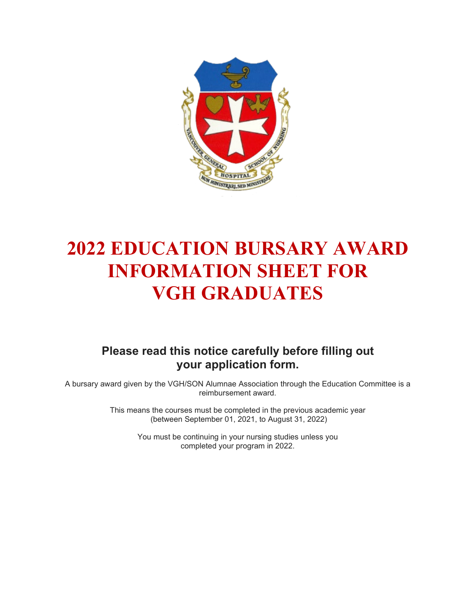

# **2022 EDUCATION BURSARY AWARD INFORMATION SHEET FOR VGH GRADUATES**

### **Please read this notice carefully before filling out your application form.**

A bursary award given by the VGH/SON Alumnae Association through the Education Committee is a reimbursement award.

> This means the courses must be completed in the previous academic year (between September 01, 2021, to August 31, 2022)

> > You must be continuing in your nursing studies unless you completed your program in 2022.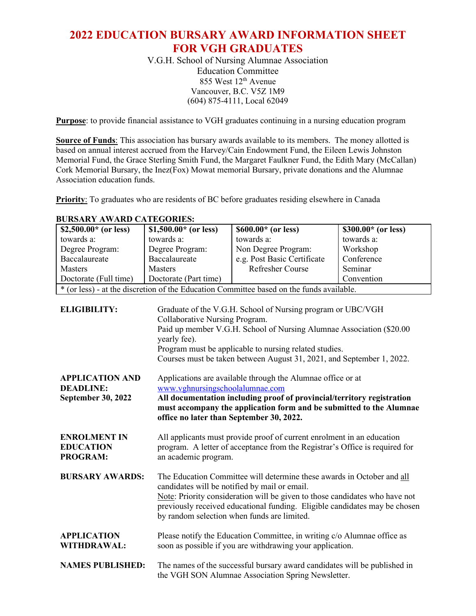### **2022 EDUCATION BURSARY AWARD INFORMATION SHEET FOR VGH GRADUATES**

V.G.H. School of Nursing Alumnae Association Education Committee 855 West  $12<sup>th</sup>$  Avenue Vancouver, B.C. V5Z 1M9 (604) 875-4111, Local 62049

**Purpose**: to provide financial assistance to VGH graduates continuing in a nursing education program

**Source of Funds**: This association has bursary awards available to its members. The money allotted is based on annual interest accrued from the Harvey/Cain Endowment Fund, the Eileen Lewis Johnston Memorial Fund, the Grace Sterling Smith Fund, the Margaret Faulkner Fund, the Edith Mary (McCallan) Cork Memorial Bursary, the Inez(Fox) Mowat memorial Bursary, private donations and the Alumnae Association education funds.

**Priority**: To graduates who are residents of BC before graduates residing elsewhere in Canada

| \$2,500.00 $*$ (or less)                            | \$1,500.00 $*$ (or less)                                                                                                                                                      | \$600.00* (or less)                                                                                                                                                                                                                                                                                                                                                     | \$300.00* (or less) |  |  |  |
|-----------------------------------------------------|-------------------------------------------------------------------------------------------------------------------------------------------------------------------------------|-------------------------------------------------------------------------------------------------------------------------------------------------------------------------------------------------------------------------------------------------------------------------------------------------------------------------------------------------------------------------|---------------------|--|--|--|
| towards a:                                          | towards a:                                                                                                                                                                    | towards a:                                                                                                                                                                                                                                                                                                                                                              | towards a:          |  |  |  |
| Degree Program:                                     | Degree Program:                                                                                                                                                               | Non Degree Program:                                                                                                                                                                                                                                                                                                                                                     | Workshop            |  |  |  |
| Baccalaureate                                       | Baccalaureate                                                                                                                                                                 | e.g. Post Basic Certificate                                                                                                                                                                                                                                                                                                                                             | Conference          |  |  |  |
| <b>Masters</b>                                      | <b>Masters</b>                                                                                                                                                                | Refresher Course                                                                                                                                                                                                                                                                                                                                                        | Seminar             |  |  |  |
| Doctorate (Full time)                               | Doctorate (Part time)                                                                                                                                                         |                                                                                                                                                                                                                                                                                                                                                                         | Convention          |  |  |  |
|                                                     | * (or less) - at the discretion of the Education Committee based on the funds available.                                                                                      |                                                                                                                                                                                                                                                                                                                                                                         |                     |  |  |  |
| <b>ELIGIBILITY:</b><br><b>APPLICATION AND</b>       | yearly fee).                                                                                                                                                                  | Graduate of the V.G.H. School of Nursing program or UBC/VGH<br>Collaborative Nursing Program.<br>Paid up member V.G.H. School of Nursing Alumnae Association (\$20.00<br>Program must be applicable to nursing related studies.<br>Courses must be taken between August 31, 2021, and September 1, 2022.<br>Applications are available through the Alumnae office or at |                     |  |  |  |
| <b>DEADLINE:</b>                                    | www.vghnursingschoolalumnae.com                                                                                                                                               |                                                                                                                                                                                                                                                                                                                                                                         |                     |  |  |  |
| <b>September 30, 2022</b>                           |                                                                                                                                                                               | All documentation including proof of provincial/territory registration                                                                                                                                                                                                                                                                                                  |                     |  |  |  |
|                                                     |                                                                                                                                                                               | must accompany the application form and be submitted to the Alumnae                                                                                                                                                                                                                                                                                                     |                     |  |  |  |
|                                                     | office no later than September 30, 2022.                                                                                                                                      |                                                                                                                                                                                                                                                                                                                                                                         |                     |  |  |  |
| <b>ENROLMENT IN</b><br><b>EDUCATION</b><br>PROGRAM: | All applicants must provide proof of current enrolment in an education<br>program. A letter of acceptance from the Registrar's Office is required for<br>an academic program. |                                                                                                                                                                                                                                                                                                                                                                         |                     |  |  |  |
| <b>BURSARY AWARDS:</b>                              |                                                                                                                                                                               | The Education Committee will determine these awards in October and all<br>candidates will be notified by mail or email.<br>Note: Priority consideration will be given to those candidates who have not<br>previously received educational funding. Eligible candidates may be chosen<br>by random selection when funds are limited.                                     |                     |  |  |  |
| <b>APPLICATION</b><br><b>WITHDRAWAL:</b>            |                                                                                                                                                                               | Please notify the Education Committee, in writing c/o Alumnae office as<br>soon as possible if you are withdrawing your application.                                                                                                                                                                                                                                    |                     |  |  |  |
| <b>NAMES PUBLISHED:</b>                             |                                                                                                                                                                               | The names of the successful bursary award candidates will be published in<br>the VGH SON Alumnae Association Spring Newsletter.                                                                                                                                                                                                                                         |                     |  |  |  |

**BURSARY AWARD CATEGORIES:**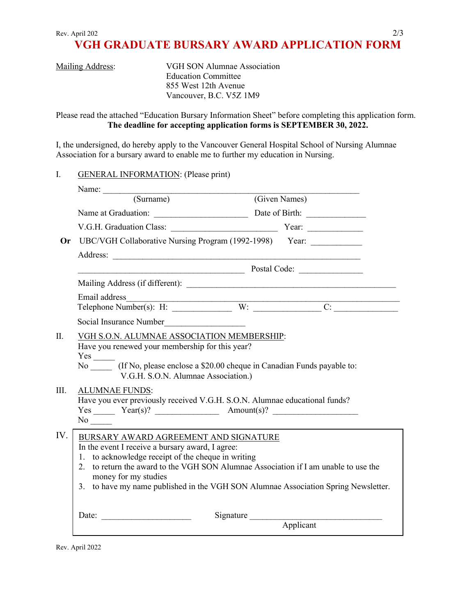### **VGH GRADUATE BURSARY AWARD APPLICATION FORM**

| <b>Mailing Address:</b> |  |
|-------------------------|--|
|                         |  |

VGH SON Alumnae Association Education Committee 855 West 12th Avenue Vancouver, B.C. V5Z 1M9

Please read the attached "Education Bursary Information Sheet" before completing this application form. **The deadline for accepting application forms is SEPTEMBER 30, 2022.**

I, the undersigned, do hereby apply to the Vancouver General Hospital School of Nursing Alumnae Association for a bursary award to enable me to further my education in Nursing.

#### I. GENERAL INFORMATION: (Please print)

|         | Name:                                                                                                                                                                                                                                                                                                                                                |           |               |  |  |  |
|---------|------------------------------------------------------------------------------------------------------------------------------------------------------------------------------------------------------------------------------------------------------------------------------------------------------------------------------------------------------|-----------|---------------|--|--|--|
|         | (Surname)                                                                                                                                                                                                                                                                                                                                            |           | (Given Names) |  |  |  |
|         |                                                                                                                                                                                                                                                                                                                                                      |           |               |  |  |  |
|         |                                                                                                                                                                                                                                                                                                                                                      |           |               |  |  |  |
|         | Or UBC/VGH Collaborative Nursing Program (1992-1998) Year: ___________                                                                                                                                                                                                                                                                               |           |               |  |  |  |
|         |                                                                                                                                                                                                                                                                                                                                                      |           |               |  |  |  |
|         |                                                                                                                                                                                                                                                                                                                                                      |           |               |  |  |  |
|         |                                                                                                                                                                                                                                                                                                                                                      |           |               |  |  |  |
|         | Email address                                                                                                                                                                                                                                                                                                                                        |           |               |  |  |  |
|         | Telephone Number(s): H: W: W: C:                                                                                                                                                                                                                                                                                                                     |           |               |  |  |  |
|         | Social Insurance Number                                                                                                                                                                                                                                                                                                                              |           |               |  |  |  |
| $\Pi$ . | VGH S.O.N. ALUMNAE ASSOCIATION MEMBERSHIP:<br>Have you renewed your membership for this year?<br>$Yes$ <sub>_________</sub><br>No (If No, please enclose a \$20.00 cheque in Canadian Funds payable to:<br>V.G.H. S.O.N. Alumnae Association.)                                                                                                       |           |               |  |  |  |
| III.    | <b>ALUMNAE FUNDS:</b><br>Have you ever previously received V.G.H. S.O.N. Alumnae educational funds?<br>$Yes \_\_\_\_ \ Year(s)? \_\_\_\_ \  \  \text{Amount(s)?} \_\_\_\_$<br>$No \_\_$                                                                                                                                                              |           |               |  |  |  |
| IV.     | BURSARY AWARD AGREEMENT AND SIGNATURE<br>In the event I receive a bursary award, I agree:<br>1. to acknowledge receipt of the cheque in writing<br>2. to return the award to the VGH SON Alumnae Association if I am unable to use the<br>money for my studies<br>3. to have my name published in the VGH SON Alumnae Association Spring Newsletter. |           |               |  |  |  |
|         | Date:                                                                                                                                                                                                                                                                                                                                                | Signature | Applicant     |  |  |  |

Rev. April 2022